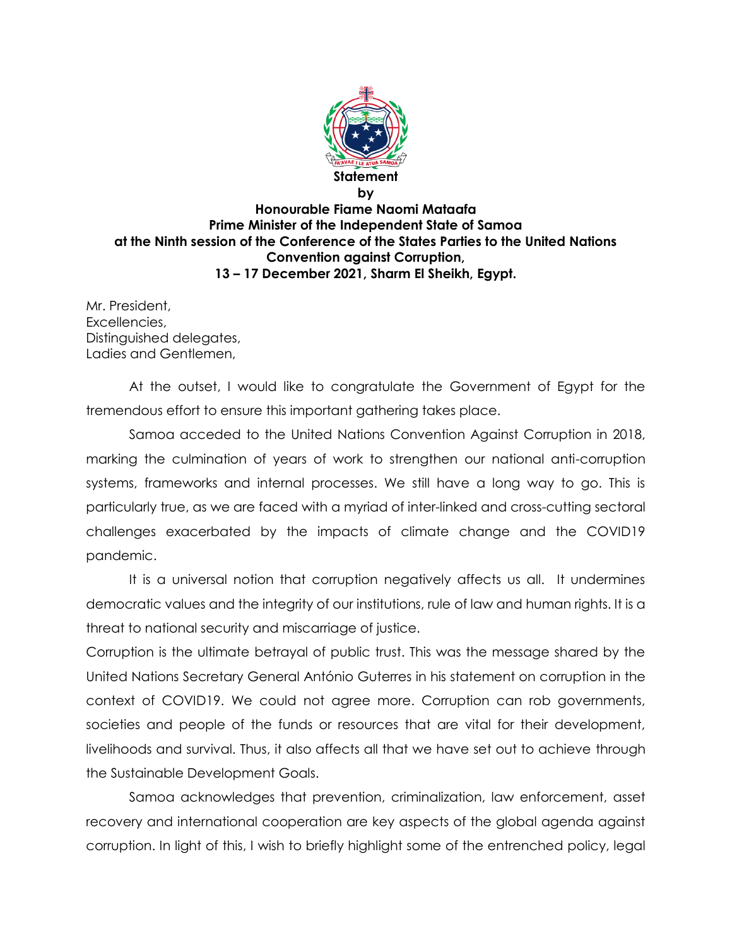

## **by Honourable Fiame Naomi Mataafa Prime Minister of the Independent State of Samoa at the Ninth session of the Conference of the States Parties to the United Nations Convention against Corruption, 13 – 17 December 2021, Sharm El Sheikh, Egypt.**

Mr. President, Excellencies, Distinguished delegates, Ladies and Gentlemen,

At the outset, I would like to congratulate the Government of Egypt for the tremendous effort to ensure this important gathering takes place.

Samoa acceded to the United Nations Convention Against Corruption in 2018, marking the culmination of years of work to strengthen our national anti-corruption systems, frameworks and internal processes. We still have a long way to go. This is particularly true, as we are faced with a myriad of inter-linked and cross-cutting sectoral challenges exacerbated by the impacts of climate change and the COVID19 pandemic.

It is a universal notion that corruption negatively affects us all. It undermines democratic values and the integrity of our institutions, rule of law and human rights. It is a threat to national security and miscarriage of justice.

Corruption is the ultimate betrayal of public trust. This was the message shared by the United Nations Secretary General António Guterres in his statement on corruption in the context of COVID19. We could not agree more. Corruption can rob governments, societies and people of the funds or resources that are vital for their development, livelihoods and survival. Thus, it also affects all that we have set out to achieve through the Sustainable Development Goals.

Samoa acknowledges that prevention, criminalization, law enforcement, asset recovery and international cooperation are key aspects of the global agenda against corruption. In light of this, I wish to briefly highlight some of the entrenched policy, legal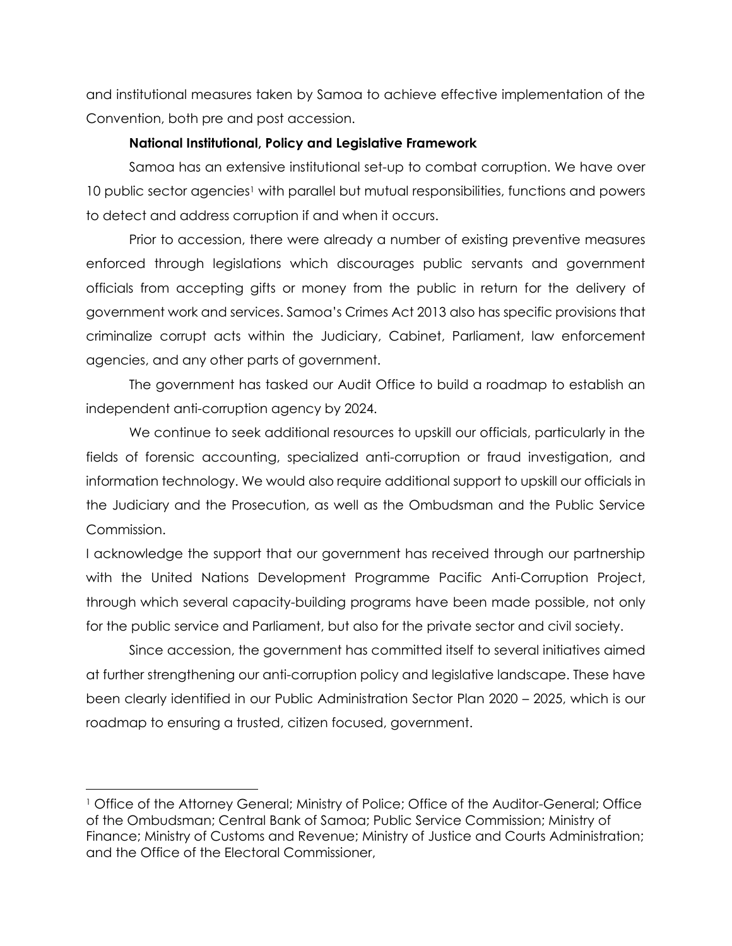and institutional measures taken by Samoa to achieve effective implementation of the Convention, both pre and post accession.

## **National Institutional, Policy and Legislative Framework**

Samoa has an extensive institutional set-up to combat corruption. We have over 10 public sector agencies<sup>1</sup> with parallel but mutual responsibilities, functions and powers to detect and address corruption if and when it occurs.

Prior to accession, there were already a number of existing preventive measures enforced through legislations which discourages public servants and government officials from accepting gifts or money from the public in return for the delivery of government work and services. Samoa's Crimes Act 2013 also has specific provisions that criminalize corrupt acts within the Judiciary, Cabinet, Parliament, law enforcement agencies, and any other parts of government.

The government has tasked our Audit Office to build a roadmap to establish an independent anti-corruption agency by 2024.

We continue to seek additional resources to upskill our officials, particularly in the fields of forensic accounting, specialized anti-corruption or fraud investigation, and information technology. We would also require additional support to upskill our officials in the Judiciary and the Prosecution, as well as the Ombudsman and the Public Service Commission.

I acknowledge the support that our government has received through our partnership with the United Nations Development Programme Pacific Anti-Corruption Project, through which several capacity-building programs have been made possible, not only for the public service and Parliament, but also for the private sector and civil society.

Since accession, the government has committed itself to several initiatives aimed at further strengthening our anti-corruption policy and legislative landscape. These have been clearly identified in our Public Administration Sector Plan 2020 – 2025, which is our roadmap to ensuring a trusted, citizen focused, government.

 $\overline{\phantom{a}}$ 

<sup>1</sup> Office of the Attorney General; Ministry of Police; Office of the Auditor-General; Office of the Ombudsman; Central Bank of Samoa; Public Service Commission; Ministry of Finance; Ministry of Customs and Revenue; Ministry of Justice and Courts Administration; and the Office of the Electoral Commissioner,